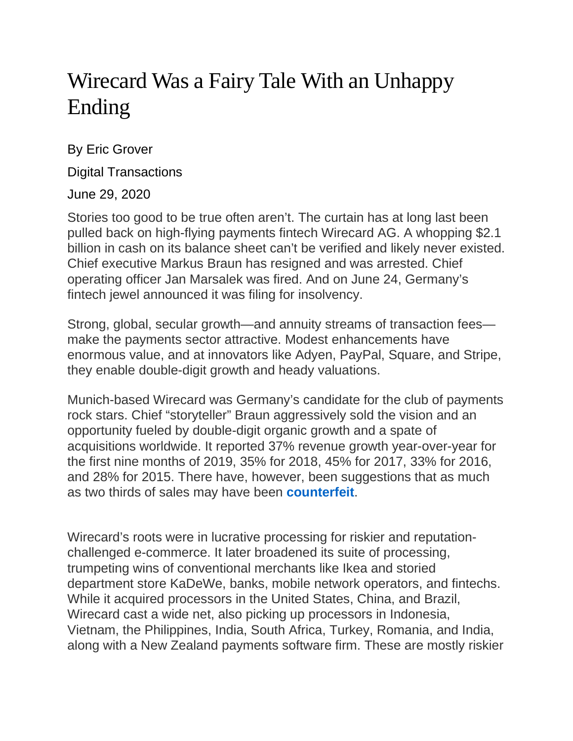## Wirecard Was a Fairy Tale With an Unhappy Ending

By Eric Grover

Digital Transactions

June 29, 2020

Stories too good to be true often aren't. The curtain has at long last been pulled back on high-flying payments fintech Wirecard AG. A whopping \$2.1 billion in cash on its balance sheet can't be verified and likely never existed. Chief executive Markus Braun has resigned and was arrested. Chief operating officer Jan Marsalek was fired. And on June 24, Germany's fintech jewel announced it was filing for insolvency.

Strong, global, secular growth—and annuity streams of transaction fees make the payments sector attractive. Modest enhancements have enormous value, and at innovators like Adyen, PayPal, Square, and Stripe, they enable double-digit growth and heady valuations.

Munich-based Wirecard was Germany's candidate for the club of payments rock stars. Chief "storyteller" Braun aggressively sold the vision and an opportunity fueled by double-digit organic growth and a spate of acquisitions worldwide. It reported 37% revenue growth year-over-year for the first nine months of 2019, 35% for 2018, 45% for 2017, 33% for 2016, and 28% for 2015. There have, however, been suggestions that as much as two thirds of sales may have been **[counterfeit](https://nypost.com/2020/06/25/german-payment-giant-wirecard-in-insolvency-owing-4-billion/)**.

Wirecard's roots were in lucrative processing for riskier and reputationchallenged e-commerce. It later broadened its suite of processing, trumpeting wins of conventional merchants like Ikea and storied department store KaDeWe, banks, mobile network operators, and fintechs. While it acquired processors in the United States, China, and Brazil, Wirecard cast a wide net, also picking up processors in Indonesia, Vietnam, the Philippines, India, South Africa, Turkey, Romania, and India, along with a New Zealand payments software firm. These are mostly riskier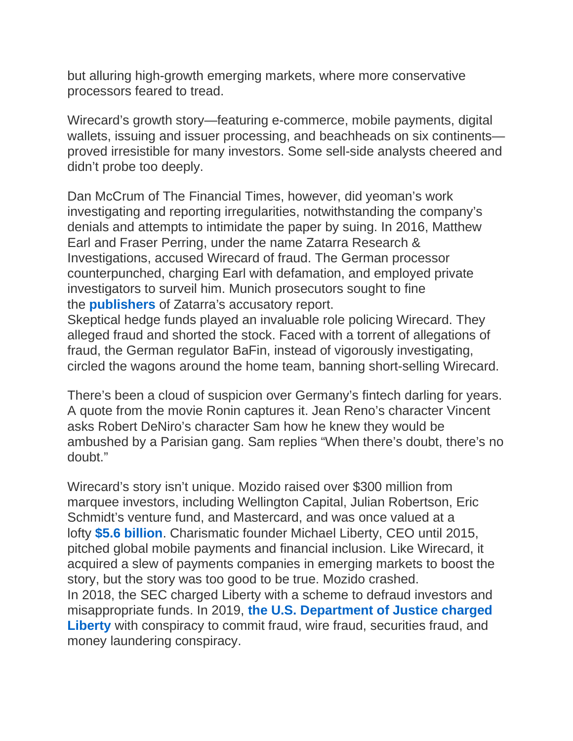but alluring high-growth emerging markets, where more conservative processors feared to tread.

Wirecard's growth story—featuring e-commerce, mobile payments, digital wallets, issuing and issuer processing, and beachheads on six continents proved irresistible for many investors. Some sell-side analysts cheered and didn't probe too deeply.

Dan McCrum of The Financial Times, however, did yeoman's work investigating and reporting irregularities, notwithstanding the company's denials and attempts to intimidate the paper by suing. In 2016, Matthew Earl and Fraser Perring, under the name Zatarra Research & Investigations, accused Wirecard of fraud. The German processor counterpunched, charging Earl with defamation, and employed private investigators to surveil him. Munich prosecutors sought to fine the **[publishers](https://www.reuters.com/article/wirecard-probe/munich-prosecutors-seek-fine-against-publisher-of-zatarra-report-idUSFWN1YF0Q1)** of Zatarra's accusatory report.

Skeptical hedge funds played an invaluable role policing Wirecard. They alleged fraud and shorted the stock. Faced with a torrent of allegations of fraud, the German regulator BaFin, instead of vigorously investigating, circled the wagons around the home team, banning short-selling Wirecard.

There's been a cloud of suspicion over Germany's fintech darling for years. A quote from the movie Ronin captures it. Jean Reno's character Vincent asks Robert DeNiro's character Sam how he knew they would be ambushed by a Parisian gang. Sam replies "When there's doubt, there's no doubt."

Wirecard's story isn't unique. Mozido raised over \$300 million from marquee investors, including Wellington Capital, Julian Robertson, Eric Schmidt's venture fund, and Mastercard, and was once valued at a lofty **\$5.6 [billion](https://www.forbesindia.com/article/cross-border/mozido-the-financial-industrys-theranos/44201/0)**. Charismatic founder Michael Liberty, CEO until 2015, pitched global mobile payments and financial inclusion. Like Wirecard, it acquired a slew of payments companies in emerging markets to boost the story, but the story was too good to be true. Mozido crashed. In 2018, the SEC charged Liberty with a scheme to defraud investors and misappropriate funds. In 2019, **the U.S. [Department](https://www.justice.gov/opa/press-release/file/1135401/download) of Justice charged [Liberty](https://www.justice.gov/opa/press-release/file/1135401/download)** with conspiracy to commit fraud, wire fraud, securities fraud, and money laundering conspiracy.